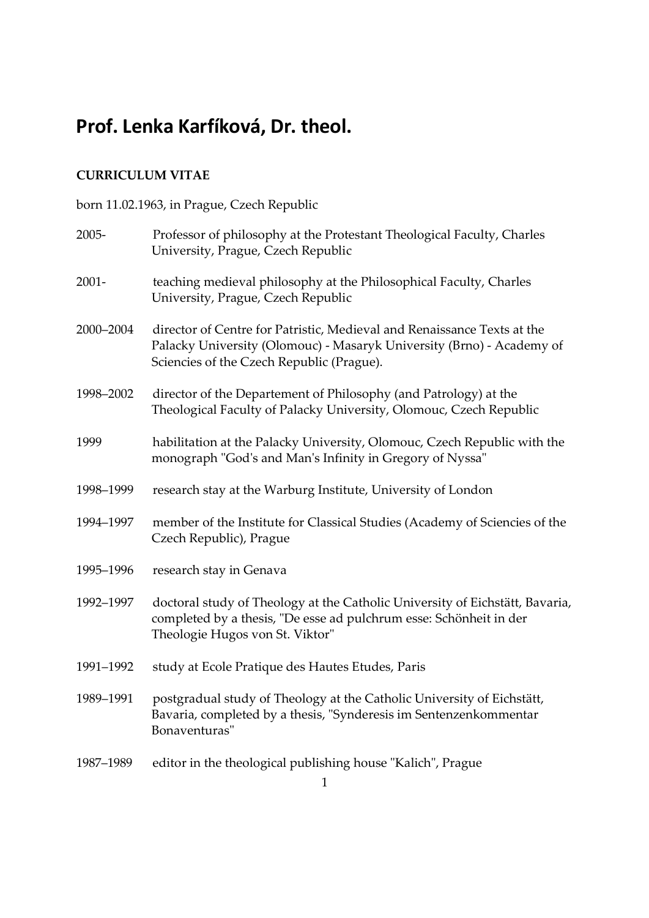# Prof. Lenka Karfíková, Dr. theol.

# CURRICULUM VITAE

# born 11.02.1963, in Prague, Czech Republic

| 2005-     | Professor of philosophy at the Protestant Theological Faculty, Charles<br>University, Prague, Czech Republic                                                                                  |
|-----------|-----------------------------------------------------------------------------------------------------------------------------------------------------------------------------------------------|
| $2001 -$  | teaching medieval philosophy at the Philosophical Faculty, Charles<br>University, Prague, Czech Republic                                                                                      |
| 2000-2004 | director of Centre for Patristic, Medieval and Renaissance Texts at the<br>Palacky University (Olomouc) - Masaryk University (Brno) - Academy of<br>Sciencies of the Czech Republic (Prague). |
| 1998-2002 | director of the Departement of Philosophy (and Patrology) at the<br>Theological Faculty of Palacky University, Olomouc, Czech Republic                                                        |
| 1999      | habilitation at the Palacky University, Olomouc, Czech Republic with the<br>monograph "God's and Man's Infinity in Gregory of Nyssa"                                                          |
| 1998-1999 | research stay at the Warburg Institute, University of London                                                                                                                                  |
| 1994-1997 | member of the Institute for Classical Studies (Academy of Sciencies of the<br>Czech Republic), Prague                                                                                         |
| 1995-1996 | research stay in Genava                                                                                                                                                                       |
| 1992-1997 | doctoral study of Theology at the Catholic University of Eichstätt, Bavaria,<br>completed by a thesis, "De esse ad pulchrum esse: Schönheit in der<br>Theologie Hugos von St. Viktor"         |
| 1991-1992 | study at Ecole Pratique des Hautes Etudes, Paris                                                                                                                                              |
| 1989-1991 | postgradual study of Theology at the Catholic University of Eichstätt,<br>Bavaria, completed by a thesis, "Synderesis im Sentenzenkommentar<br>Bonaventuras"                                  |
| 1987-1989 | editor in the theological publishing house "Kalich", Prague                                                                                                                                   |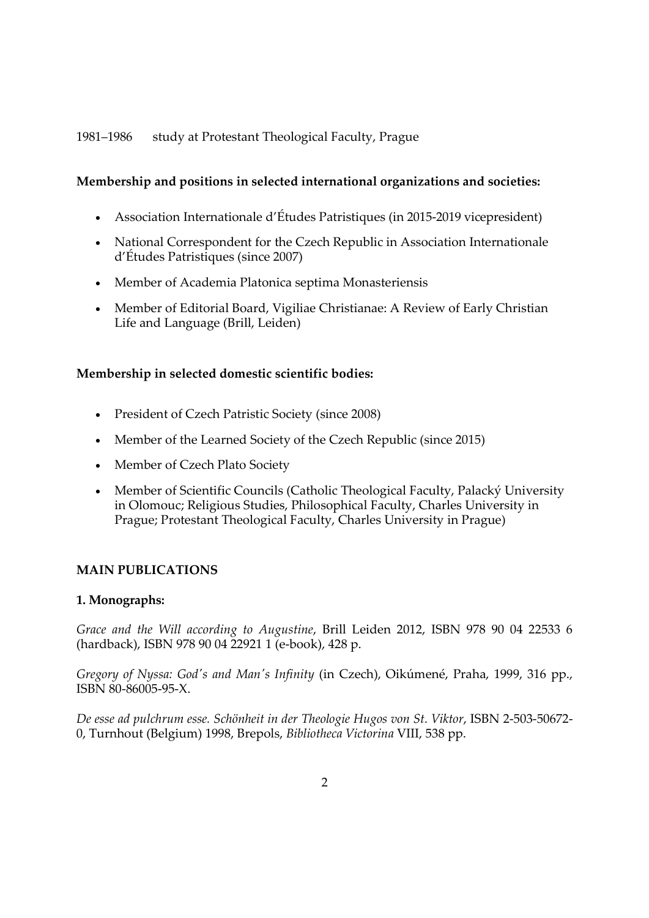# 1981–1986 study at Protestant Theological Faculty, Prague

# Membership and positions in selected international organizations and societies:

- Association Internationale d'Études Patristiques (in 2015-2019 vicepresident)
- National Correspondent for the Czech Republic in Association Internationale d'Études Patristiques (since 2007)
- Member of Academia Platonica septima Monasteriensis
- Member of Editorial Board, Vigiliae Christianae: A Review of Early Christian Life and Language (Brill, Leiden)

### Membership in selected domestic scientific bodies:

- President of Czech Patristic Society (since 2008)
- Member of the Learned Society of the Czech Republic (since 2015)
- Member of Czech Plato Society
- Member of Scientific Councils (Catholic Theological Faculty, Palacký University in Olomouc; Religious Studies, Philosophical Faculty, Charles University in Prague; Protestant Theological Faculty, Charles University in Prague)

# MAIN PUBLICATIONS

### 1. Monographs:

Grace and the Will according to Augustine, Brill Leiden 2012, ISBN 978 90 04 22533 6 (hardback), ISBN 978 90 04 22921 1 (e-book), 428 p.

Gregory of Nyssa: God's and Man's Infinity (in Czech), Oikúmené, Praha, 1999, 316 pp., ISBN 80-86005-95-X.

De esse ad pulchrum esse. Schönheit in der Theologie Hugos von St. Viktor, ISBN 2-503-50672- 0, Turnhout (Belgium) 1998, Brepols, Bibliotheca Victorina VIII, 538 pp.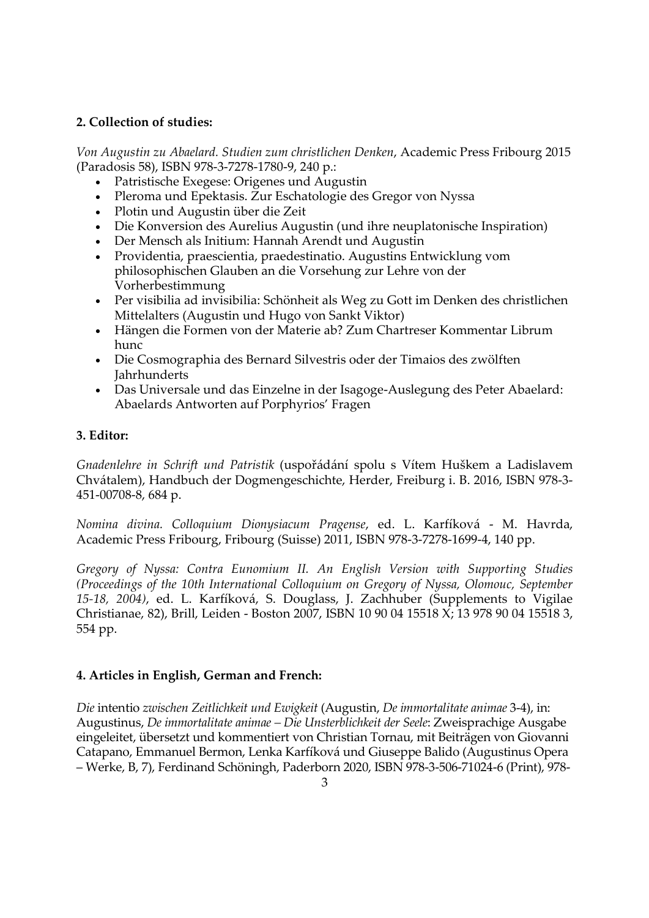# 2. Collection of studies:

Von Augustin zu Abaelard. Studien zum christlichen Denken, Academic Press Fribourg 2015 (Paradosis 58), ISBN 978-3-7278-1780-9, 240 p.:

- Patristische Exegese: Origenes und Augustin
- Pleroma und Epektasis. Zur Eschatologie des Gregor von Nyssa
- Plotin und Augustin über die Zeit
- Die Konversion des Aurelius Augustin (und ihre neuplatonische Inspiration)
- Der Mensch als Initium: Hannah Arendt und Augustin
- Providentia, praescientia, praedestinatio. Augustins Entwicklung vom philosophischen Glauben an die Vorsehung zur Lehre von der Vorherbestimmung
- Per visibilia ad invisibilia: Schönheit als Weg zu Gott im Denken des christlichen Mittelalters (Augustin und Hugo von Sankt Viktor)
- Hängen die Formen von der Materie ab? Zum Chartreser Kommentar Librum hunc
- Die Cosmographia des Bernard Silvestris oder der Timaios des zwölften Jahrhunderts
- Das Universale und das Einzelne in der Isagoge-Auslegung des Peter Abaelard: Abaelards Antworten auf Porphyrios' Fragen

### 3. Editor:

Gnadenlehre in Schrift und Patristik (uspořádání spolu s Vítem Huškem a Ladislavem Chvátalem), Handbuch der Dogmengeschichte, Herder, Freiburg i. B. 2016, ISBN 978-3- 451-00708-8, 684 p.

Nomina divina. Colloquium Dionysiacum Pragense, ed. L. Karfíková - M. Havrda, Academic Press Fribourg, Fribourg (Suisse) 2011, ISBN 978-3-7278-1699-4, 140 pp.

Gregory of Nyssa: Contra Eunomium II. An English Version with Supporting Studies (Proceedings of the 10th International Colloquium on Gregory of Nyssa, Olomouc, September 15-18, 2004), ed. L. Karfíková, S. Douglass, J. Zachhuber (Supplements to Vigilae Christianae, 82), Brill, Leiden - Boston 2007, ISBN 10 90 04 15518 X; 13 978 90 04 15518 3, 554 pp.

### 4. Articles in English, German and French:

Die intentio zwischen Zeitlichkeit und Ewigkeit (Augustin, De immortalitate animae 3-4), in: Augustinus, De immortalitate animae – Die Unsterblichkeit der Seele: Zweisprachige Ausgabe eingeleitet, übersetzt und kommentiert von Christian Tornau, mit Beiträgen von Giovanni Catapano, Emmanuel Bermon, Lenka Karfíková und Giuseppe Balido (Augustinus Opera – Werke, B, 7), Ferdinand Schöningh, Paderborn 2020, ISBN 978-3-506-71024-6 (Print), 978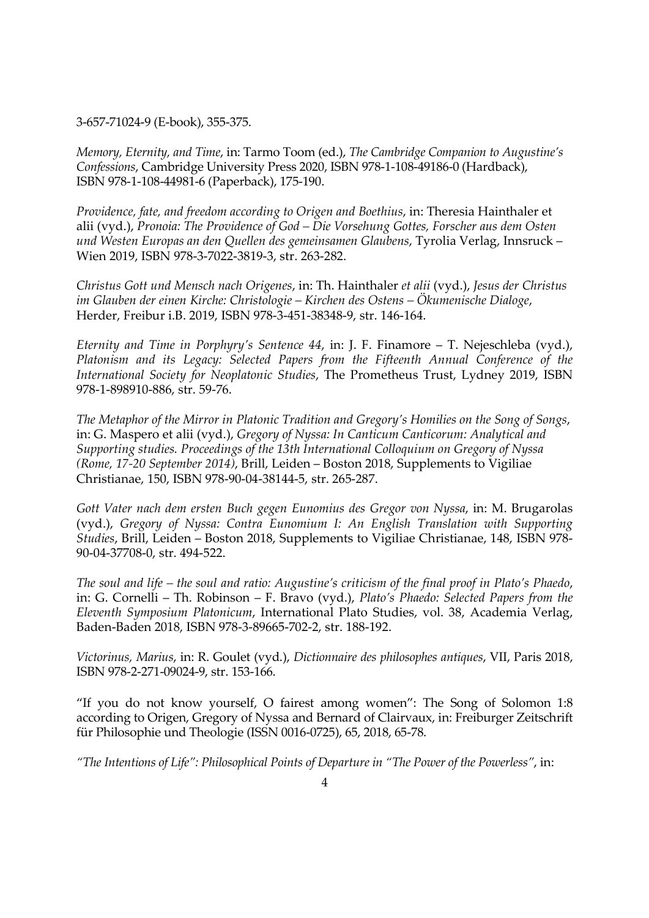3-657-71024-9 (E-book), 355-375.

Memory, Eternity, and Time, in: Tarmo Toom (ed.), The Cambridge Companion to Augustine's Confessions, Cambridge University Press 2020, ISBN 978-1-108-49186-0 (Hardback), ISBN 978-1-108-44981-6 (Paperback), 175-190.

Providence, fate, and freedom according to Origen and Boethius, in: Theresia Hainthaler et alii (vyd.), Pronoia: The Providence of God – Die Vorsehung Gottes, Forscher aus dem Osten und Westen Europas an den Quellen des gemeinsamen Glaubens, Tyrolia Verlag, Innsruck – Wien 2019, ISBN 978-3-7022-3819-3, str. 263-282.

Christus Gott und Mensch nach Origenes, in: Th. Hainthaler et alii (vyd.), Jesus der Christus im Glauben der einen Kirche: Christologie – Kirchen des Ostens – Ökumenische Dialoge, Herder, Freibur i.B. 2019, ISBN 978-3-451-38348-9, str. 146-164.

Eternity and Time in Porphyry's Sentence 44, in: J. F. Finamore  $-$  T. Nejeschleba (vyd.), Platonism and its Legacy: Selected Papers from the Fifteenth Annual Conference of the International Society for Neoplatonic Studies, The Prometheus Trust, Lydney 2019, ISBN 978-1-898910-886, str. 59-76.

The Metaphor of the Mirror in Platonic Tradition and Gregory's Homilies on the Song of Songs, in: G. Maspero et alii (vyd.), Gregory of Nyssa: In Canticum Canticorum: Analytical and Supporting studies. Proceedings of the 13th International Colloquium on Gregory of Nyssa (Rome, 17-20 September 2014), Brill, Leiden – Boston 2018, Supplements to Vigiliae Christianae, 150, ISBN 978-90-04-38144-5, str. 265-287.

Gott Vater nach dem ersten Buch gegen Eunomius des Gregor von Nyssa, in: M. Brugarolas (vyd.), Gregory of Nyssa: Contra Eunomium I: An English Translation with Supporting Studies, Brill, Leiden – Boston 2018, Supplements to Vigiliae Christianae, 148, ISBN 978- 90-04-37708-0, str. 494-522.

The soul and life – the soul and ratio: Augustine's criticism of the final proof in Plato's Phaedo, in: G. Cornelli – Th. Robinson – F. Bravo (vyd.), Plato's Phaedo: Selected Papers from the Eleventh Symposium Platonicum, International Plato Studies, vol. 38, Academia Verlag, Baden-Baden 2018, ISBN 978-3-89665-702-2, str. 188-192.

Victorinus, Marius, in: R. Goulet (vyd.), Dictionnaire des philosophes antiques, VII, Paris 2018, ISBN 978-2-271-09024-9, str. 153-166.

"If you do not know yourself, O fairest among women": The Song of Solomon 1:8 according to Origen, Gregory of Nyssa and Bernard of Clairvaux, in: Freiburger Zeitschrift für Philosophie und Theologie (ISSN 0016-0725), 65, 2018, 65-78.

"The Intentions of Life": Philosophical Points of Departure in "The Power of the Powerless", in: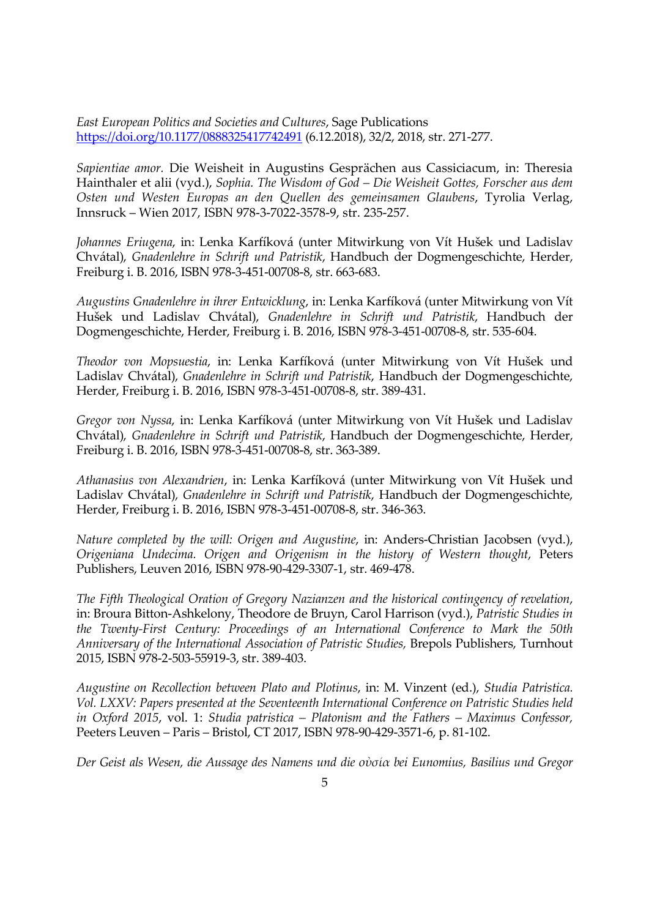East European Politics and Societies and Cultures, Sage Publications https://doi.org/10.1177/0888325417742491 (6.12.2018), 32/2, 2018, str. 271-277.

Sapientiae amor. Die Weisheit in Augustins Gesprächen aus Cassiciacum, in: Theresia Hainthaler et alii (vyd.), Sophia. The Wisdom of God – Die Weisheit Gottes, Forscher aus dem Osten und Westen Europas an den Quellen des gemeinsamen Glaubens, Tyrolia Verlag, Innsruck – Wien 2017, ISBN 978-3-7022-3578-9, str. 235-257.

Johannes Eriugena, in: Lenka Karfíková (unter Mitwirkung von Vít Hušek und Ladislav Chvátal), Gnadenlehre in Schrift und Patristik, Handbuch der Dogmengeschichte, Herder, Freiburg i. B. 2016, ISBN 978-3-451-00708-8, str. 663-683.

Augustins Gnadenlehre in ihrer Entwicklung, in: Lenka Karfíková (unter Mitwirkung von Vít Hušek und Ladislav Chvátal), Gnadenlehre in Schrift und Patristik, Handbuch der Dogmengeschichte, Herder, Freiburg i. B. 2016, ISBN 978-3-451-00708-8, str. 535-604.

Theodor von Mopsuestia, in: Lenka Karfíková (unter Mitwirkung von Vít Hušek und Ladislav Chvátal), Gnadenlehre in Schrift und Patristik, Handbuch der Dogmengeschichte, Herder, Freiburg i. B. 2016, ISBN 978-3-451-00708-8, str. 389-431.

Gregor von Nyssa, in: Lenka Karfíková (unter Mitwirkung von Vít Hušek und Ladislav Chvátal), Gnadenlehre in Schrift und Patristik, Handbuch der Dogmengeschichte, Herder, Freiburg i. B. 2016, ISBN 978-3-451-00708-8, str. 363-389.

Athanasius von Alexandrien, in: Lenka Karfíková (unter Mitwirkung von Vít Hušek und Ladislav Chvátal), Gnadenlehre in Schrift und Patristik, Handbuch der Dogmengeschichte, Herder, Freiburg i. B. 2016, ISBN 978-3-451-00708-8, str. 346-363.

Nature completed by the will: Origen and Augustine, in: Anders-Christian Jacobsen (vyd.), Origeniana Undecima. Origen and Origenism in the history of Western thought, Peters Publishers, Leuven 2016, ISBN 978-90-429-3307-1, str. 469-478.

The Fifth Theological Oration of Gregory Nazianzen and the historical contingency of revelation, in: Broura Bitton-Ashkelony, Theodore de Bruyn, Carol Harrison (vyd.), Patristic Studies in the Twenty-First Century: Proceedings of an International Conference to Mark the 50th Anniversary of the International Association of Patristic Studies, Brepols Publishers, Turnhout 2015, ISBN 978-2-503-55919-3, str. 389-403.

Augustine on Recollection between Plato and Plotinus, in: M. Vinzent (ed.), Studia Patristica. Vol. LXXV: Papers presented at the Seventeenth International Conference on Patristic Studies held in Oxford 2015, vol. 1: Studia patristica – Platonism and the Fathers – Maximus Confessor, Peeters Leuven – Paris – Bristol, CT 2017, ISBN 978-90-429-3571-6, p. 81-102.

Der Geist als Wesen, die Aussage des Namens und die οὐσία bei Eunomius, Basilius und Gregor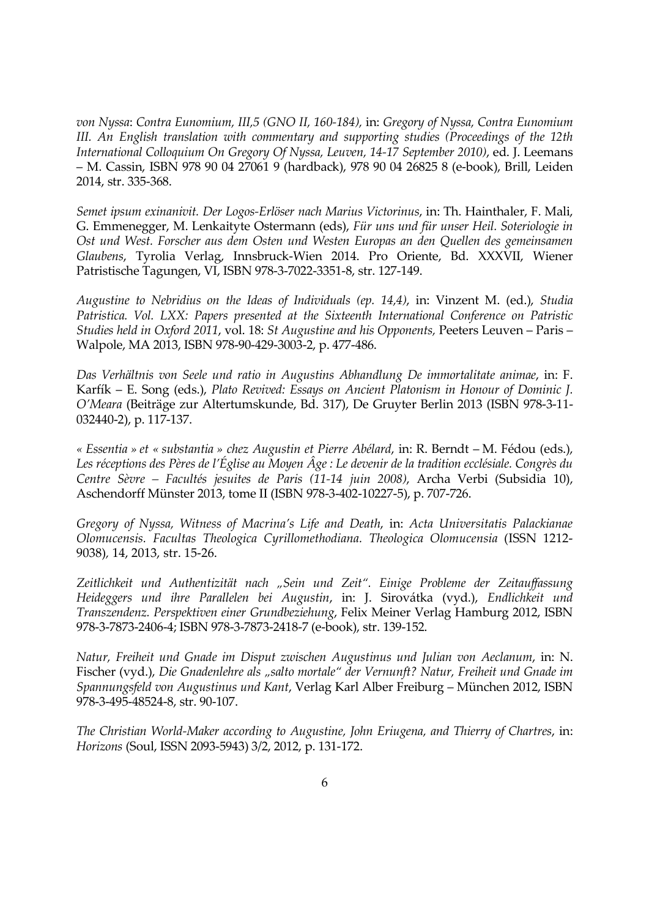von Nyssa: Contra Eunomium, III,5 (GNO II, 160-184), in: Gregory of Nyssa, Contra Eunomium III. An English translation with commentary and supporting studies (Proceedings of the 12th International Colloquium On Gregory Of Nyssa, Leuven, 14-17 September 2010), ed. J. Leemans – M. Cassin, ISBN 978 90 04 27061 9 (hardback), 978 90 04 26825 8 (e-book), Brill, Leiden 2014, str. 335-368.

Semet ipsum exinanivit. Der Logos-Erlöser nach Marius Victorinus, in: Th. Hainthaler, F. Mali, G. Emmenegger, M. Lenkaityte Ostermann (eds), Für uns und für unser Heil. Soteriologie in Ost und West. Forscher aus dem Osten und Westen Europas an den Quellen des gemeinsamen Glaubens, Tyrolia Verlag, Innsbruck-Wien 2014. Pro Oriente, Bd. XXXVII, Wiener Patristische Tagungen, VI, ISBN 978-3-7022-3351-8, str. 127-149.

Augustine to Nebridius on the Ideas of Individuals (ep. 14,4), in: Vinzent M. (ed.), Studia Patristica. Vol. LXX: Papers presented at the Sixteenth International Conference on Patristic Studies held in Oxford 2011, vol. 18: St Augustine and his Opponents, Peeters Leuven – Paris – Walpole, MA 2013, ISBN 978-90-429-3003-2, p. 477-486.

Das Verhältnis von Seele und ratio in Augustins Abhandlung De immortalitate animae, in: F. Karfík – E. Song (eds.), Plato Revived: Essays on Ancient Platonism in Honour of Dominic J. O'Meara (Beiträge zur Altertumskunde, Bd. 317), De Gruyter Berlin 2013 (ISBN 978-3-11- 032440-2), p. 117-137.

« Essentia » et « substantia » chez Augustin et Pierre Abélard, in: R. Berndt – M. Fédou (eds.), Les réceptions des Pères de l'Église au Moyen Âge : Le devenir de la tradition ecclésiale. Congrès du Centre Sèvre – Facultés jesuites de Paris (11-14 juin 2008), Archa Verbi (Subsidia 10), Aschendorff Münster 2013, tome II (ISBN 978-3-402-10227-5), p. 707-726.

Gregory of Nyssa, Witness of Macrina's Life and Death, in: Acta Universitatis Palackianae Olomucensis. Facultas Theologica Cyrillomethodiana. Theologica Olomucensia (ISSN 1212- 9038), 14, 2013, str. 15-26.

Zeitlichkeit und Authentizität nach "Sein und Zeit". Einige Probleme der Zeitauffassung Heideggers und ihre Parallelen bei Augustin, in: J. Sirovátka (vyd.), Endlichkeit und Transzendenz. Perspektiven einer Grundbeziehung, Felix Meiner Verlag Hamburg 2012, ISBN 978-3-7873-2406-4; ISBN 978-3-7873-2418-7 (e-book), str. 139-152.

Natur, Freiheit und Gnade im Disput zwischen Augustinus und Julian von Aeclanum, in: N. Fischer (vyd.), Die Gnadenlehre als "salto mortale" der Vernunft? Natur, Freiheit und Gnade im Spannungsfeld von Augustinus und Kant, Verlag Karl Alber Freiburg – München 2012, ISBN 978-3-495-48524-8, str. 90-107.

The Christian World-Maker according to Augustine, John Eriugena, and Thierry of Chartres, in: Horizons (Soul, ISSN 2093-5943) 3/2, 2012, p. 131-172.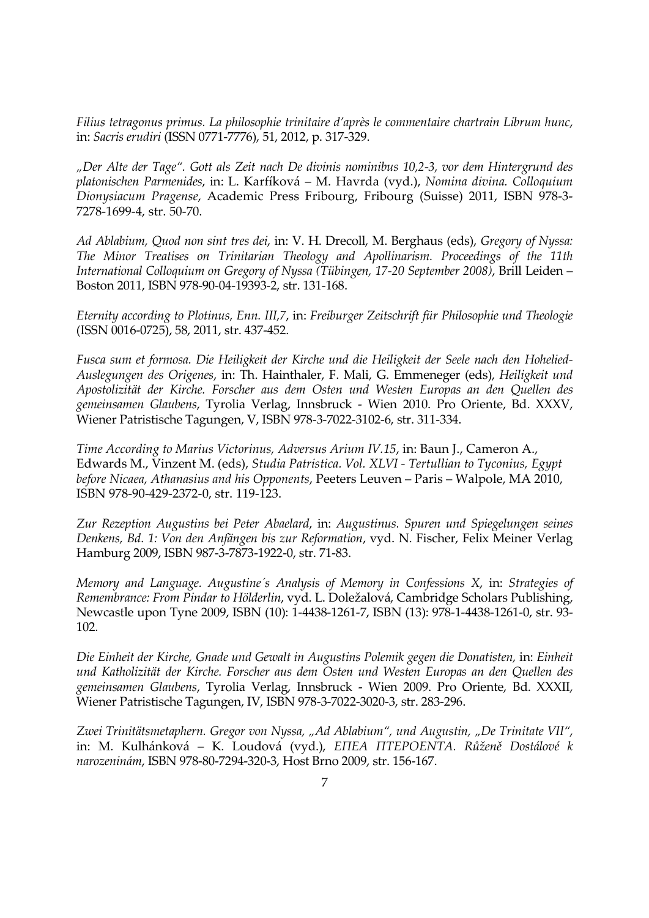Filius tetragonus primus. La philosophie trinitaire d'après le commentaire chartrain Librum hunc, in: Sacris erudiri (ISSN 0771-7776), 51, 2012, p. 317-329.

"Der Alte der Tage". Gott als Zeit nach De divinis nominibus 10,2-3, vor dem Hintergrund des platonischen Parmenides, in: L. Karfíková – M. Havrda (vyd.), Nomina divina. Colloquium Dionysiacum Pragense, Academic Press Fribourg, Fribourg (Suisse) 2011, ISBN 978-3- 7278-1699-4, str. 50-70.

Ad Ablabium, Quod non sint tres dei, in: V. H. Drecoll, M. Berghaus (eds), Gregory of Nyssa: The Minor Treatises on Trinitarian Theology and Apollinarism. Proceedings of the 11th International Colloquium on Gregory of Nyssa (Tübingen, 17-20 September 2008), Brill Leiden – Boston 2011, ISBN 978-90-04-19393-2, str. 131-168.

Eternity according to Plotinus, Enn. III,7, in: Freiburger Zeitschrift für Philosophie und Theologie (ISSN 0016-0725), 58, 2011, str. 437-452.

Fusca sum et formosa. Die Heiligkeit der Kirche und die Heiligkeit der Seele nach den Hohelied-Auslegungen des Origenes, in: Th. Hainthaler, F. Mali, G. Emmeneger (eds), Heiligkeit und Apostolizität der Kirche. Forscher aus dem Osten und Westen Europas an den Quellen des gemeinsamen Glaubens, Tyrolia Verlag, Innsbruck - Wien 2010. Pro Oriente, Bd. XXXV, Wiener Patristische Tagungen, V, ISBN 978-3-7022-3102-6, str. 311-334.

Time According to Marius Victorinus, Adversus Arium IV.15, in: Baun J., Cameron A., Edwards M., Vinzent M. (eds), Studia Patristica. Vol. XLVI - Tertullian to Tyconius, Egypt before Nicaea, Athanasius and his Opponents, Peeters Leuven – Paris – Walpole, MA 2010, ISBN 978-90-429-2372-0, str. 119-123.

Zur Rezeption Augustins bei Peter Abaelard, in: Augustinus. Spuren und Spiegelungen seines Denkens, Bd. 1: Von den Anfängen bis zur Reformation, vyd. N. Fischer, Felix Meiner Verlag Hamburg 2009, ISBN 987-3-7873-1922-0, str. 71-83.

Memory and Language. Augustine´s Analysis of Memory in Confessions X, in: Strategies of Remembrance: From Pindar to Hölderlin, vyd. L. Doležalová, Cambridge Scholars Publishing, Newcastle upon Tyne 2009, ISBN (10): 1-4438-1261-7, ISBN (13): 978-1-4438-1261-0, str. 93- 102.

Die Einheit der Kirche, Gnade und Gewalt in Augustins Polemik gegen die Donatisten, in: Einheit und Katholizität der Kirche. Forscher aus dem Osten und Westen Europas an den Quellen des gemeinsamen Glaubens, Tyrolia Verlag, Innsbruck - Wien 2009. Pro Oriente, Bd. XXXII, Wiener Patristische Tagungen, IV, ISBN 978-3-7022-3020-3, str. 283-296.

Zwei Trinitätsmetaphern. Gregor von Nyssa, "Ad Ablabium", und Augustin, "De Trinitate VII", in: M. Kulhánková – K. Loudová (vyd.), ΕΠΕΑ ΠΤΕΡΟΕΝΤΑ. Růženě Dostálové k narozeninám, ISBN 978-80-7294-320-3, Host Brno 2009, str. 156-167.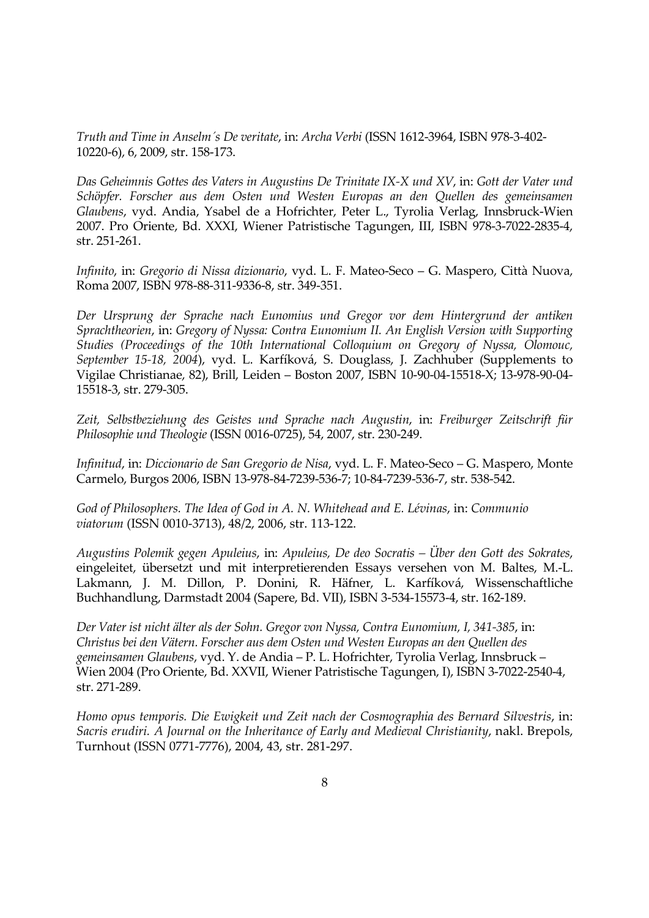Truth and Time in Anselm´s De veritate, in: Archa Verbi (ISSN 1612-3964, ISBN 978-3-402- 10220-6), 6, 2009, str. 158-173.

Das Geheimnis Gottes des Vaters in Augustins De Trinitate IX-X und XV, in: Gott der Vater und Schöpfer. Forscher aus dem Osten und Westen Europas an den Quellen des gemeinsamen Glaubens, vyd. Andia, Ysabel de a Hofrichter, Peter L., Tyrolia Verlag, Innsbruck-Wien 2007. Pro Oriente, Bd. XXXI, Wiener Patristische Tagungen, III, ISBN 978-3-7022-2835-4, str. 251-261.

Infinito, in: Gregorio di Nissa dizionario, vyd. L. F. Mateo-Seco – G. Maspero, Città Nuova, Roma 2007, ISBN 978-88-311-9336-8, str. 349-351.

Der Ursprung der Sprache nach Eunomius und Gregor vor dem Hintergrund der antiken Sprachtheorien, in: Gregory of Nyssa: Contra Eunomium II. An English Version with Supporting Studies (Proceedings of the 10th International Colloquium on Gregory of Nyssa, Olomouc, September 15-18, 2004), vyd. L. Karfíková, S. Douglass, J. Zachhuber (Supplements to Vigilae Christianae, 82), Brill, Leiden – Boston 2007, ISBN 10-90-04-15518-X; 13-978-90-04- 15518-3, str. 279-305.

Zeit, Selbstbeziehung des Geistes und Sprache nach Augustin, in: Freiburger Zeitschrift für Philosophie und Theologie (ISSN 0016-0725), 54, 2007, str. 230-249.

Infinitud, in: Diccionario de San Gregorio de Nisa, vyd. L. F. Mateo-Seco – G. Maspero, Monte Carmelo, Burgos 2006, ISBN 13-978-84-7239-536-7; 10-84-7239-536-7, str. 538-542.

God of Philosophers. The Idea of God in A. N. Whitehead and E. Lévinas, in: Communio viatorum (ISSN 0010-3713), 48/2, 2006, str. 113-122.

Augustins Polemik gegen Apuleius, in: Apuleius, De deo Socratis – Über den Gott des Sokrates, eingeleitet, übersetzt und mit interpretierenden Essays versehen von M. Baltes, M.-L. Lakmann, J. M. Dillon, P. Donini, R. Häfner, L. Karfíková, Wissenschaftliche Buchhandlung, Darmstadt 2004 (Sapere, Bd. VII), ISBN 3-534-15573-4, str. 162-189.

Der Vater ist nicht älter als der Sohn. Gregor von Nyssa, Contra Eunomium, I, 341-385, in: Christus bei den Vätern. Forscher aus dem Osten und Westen Europas an den Quellen des gemeinsamen Glaubens, vyd. Y. de Andia – P. L. Hofrichter, Tyrolia Verlag, Innsbruck – Wien 2004 (Pro Oriente, Bd. XXVII, Wiener Patristische Tagungen, I), ISBN 3-7022-2540-4, str. 271-289.

Homo opus temporis. Die Ewigkeit und Zeit nach der Cosmographia des Bernard Silvestris, in: Sacris erudiri. A Journal on the Inheritance of Early and Medieval Christianity, nakl. Brepols, Turnhout (ISSN 0771-7776), 2004, 43, str. 281-297.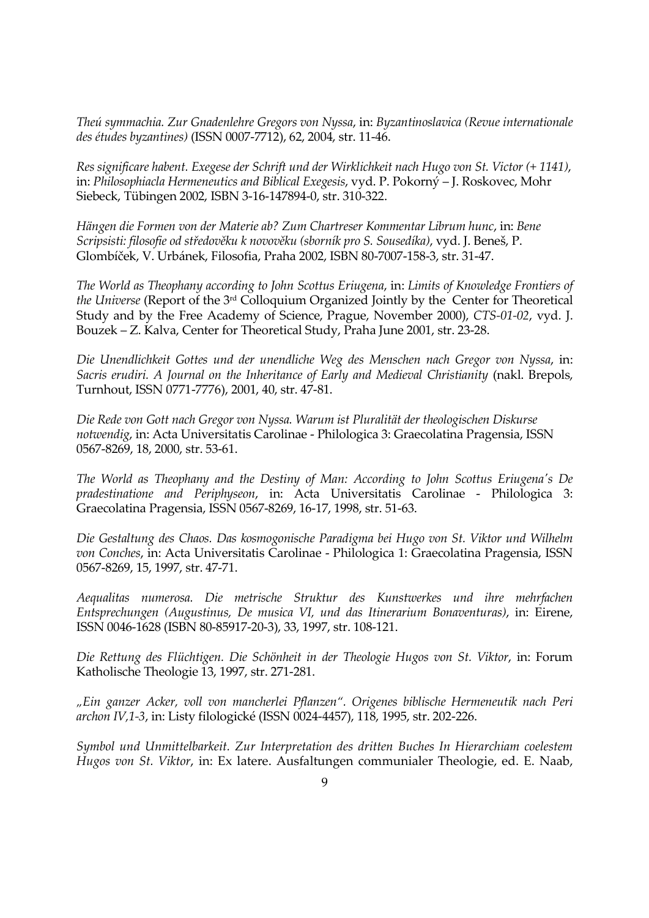Theú symmachia. Zur Gnadenlehre Gregors von Nyssa, in: Byzantinoslavica (Revue internationale des études byzantines) (ISSN 0007-7712), 62, 2004, str. 11-46.

Res significare habent. Exegese der Schrift und der Wirklichkeit nach Hugo von St. Victor (+ 1141), in: Philosophiacla Hermeneutics and Biblical Exegesis, vyd. P. Pokorný – J. Roskovec, Mohr Siebeck, Tübingen 2002, ISBN 3-16-147894-0, str. 310-322.

Hängen die Formen von der Materie ab? Zum Chartreser Kommentar Librum hunc, in: Bene Scripsisti: filosofie od středověku k novověku (sborník pro S. Sousedíka), vyd. J. Beneš, P. Glombíček, V. Urbánek, Filosofia, Praha 2002, ISBN 80-7007-158-3, str. 31-47.

The World as Theophany according to John Scottus Eriugena, in: Limits of Knowledge Frontiers of the Universe (Report of the 3rd Colloquium Organized Jointly by the Center for Theoretical Study and by the Free Academy of Science, Prague, November 2000), CTS-01-02, vyd. J. Bouzek – Z. Kalva, Center for Theoretical Study, Praha June 2001, str. 23-28.

Die Unendlichkeit Gottes und der unendliche Weg des Menschen nach Gregor von Nyssa, in: Sacris erudiri. A Journal on the Inheritance of Early and Medieval Christianity (nakl. Brepols, Turnhout, ISSN 0771-7776), 2001, 40, str. 47-81.

Die Rede von Gott nach Gregor von Nyssa. Warum ist Pluralität der theologischen Diskurse notwendig, in: Acta Universitatis Carolinae - Philologica 3: Graecolatina Pragensia, ISSN 0567-8269, 18, 2000, str. 53-61.

The World as Theophany and the Destiny of Man: According to John Scottus Eriugena's De pradestinatione and Periphyseon, in: Acta Universitatis Carolinae - Philologica 3: Graecolatina Pragensia, ISSN 0567-8269, 16-17, 1998, str. 51-63.

Die Gestaltung des Chaos. Das kosmogonische Paradigma bei Hugo von St. Viktor und Wilhelm von Conches, in: Acta Universitatis Carolinae - Philologica 1: Graecolatina Pragensia, ISSN 0567-8269, 15, 1997, str. 47-71.

Aequalitas numerosa. Die metrische Struktur des Kunstwerkes und ihre mehrfachen Entsprechungen (Augustinus, De musica VI, und das Itinerarium Bonaventuras), in: Eirene, ISSN 0046-1628 (ISBN 80-85917-20-3), 33, 1997, str. 108-121.

Die Rettung des Flüchtigen. Die Schönheit in der Theologie Hugos von St. Viktor, in: Forum Katholische Theologie 13, 1997, str. 271-281.

"Ein ganzer Acker, voll von mancherlei Pflanzen". Origenes biblische Hermeneutik nach Peri archon IV,1-3, in: Listy filologické (ISSN 0024-4457), 118, 1995, str. 202-226.

Symbol und Unmittelbarkeit. Zur Interpretation des dritten Buches In Hierarchiam coelestem Hugos von St. Viktor, in: Ex latere. Ausfaltungen communialer Theologie, ed. E. Naab,